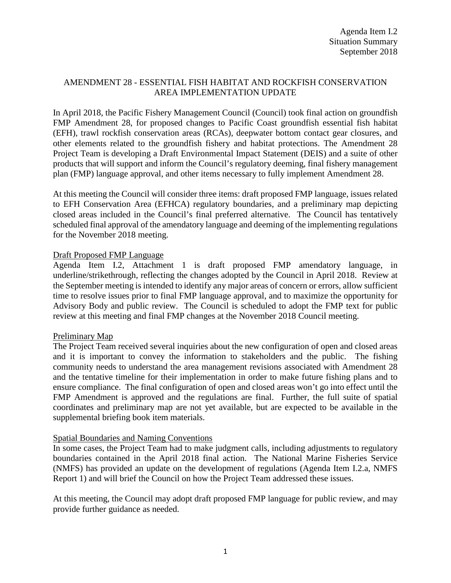## AMENDMENT 28 - ESSENTIAL FISH HABITAT AND ROCKFISH CONSERVATION AREA IMPLEMENTATION UPDATE

In April 2018, the Pacific Fishery Management Council (Council) took final action on groundfish FMP Amendment 28, for proposed changes to Pacific Coast groundfish essential fish habitat (EFH), trawl rockfish conservation areas (RCAs), deepwater bottom contact gear closures, and other elements related to the groundfish fishery and habitat protections. The Amendment 28 Project Team is developing a Draft Environmental Impact Statement (DEIS) and a suite of other products that will support and inform the Council's regulatory deeming, final fishery management plan (FMP) language approval, and other items necessary to fully implement Amendment 28.

At this meeting the Council will consider three items: draft proposed FMP language, issues related to EFH Conservation Area (EFHCA) regulatory boundaries, and a preliminary map depicting closed areas included in the Council's final preferred alternative. The Council has tentatively scheduled final approval of the amendatory language and deeming of the implementing regulations for the November 2018 meeting.

#### Draft Proposed FMP Language

Agenda Item I.2, Attachment 1 is draft proposed FMP amendatory language, in underline/strikethrough, reflecting the changes adopted by the Council in April 2018. Review at the September meeting is intended to identify any major areas of concern or errors, allow sufficient time to resolve issues prior to final FMP language approval, and to maximize the opportunity for Advisory Body and public review. The Council is scheduled to adopt the FMP text for public review at this meeting and final FMP changes at the November 2018 Council meeting.

#### Preliminary Map

The Project Team received several inquiries about the new configuration of open and closed areas and it is important to convey the information to stakeholders and the public. The fishing community needs to understand the area management revisions associated with Amendment 28 and the tentative timeline for their implementation in order to make future fishing plans and to ensure compliance. The final configuration of open and closed areas won't go into effect until the FMP Amendment is approved and the regulations are final. Further, the full suite of spatial coordinates and preliminary map are not yet available, but are expected to be available in the supplemental briefing book item materials.

#### Spatial Boundaries and Naming Conventions

In some cases, the Project Team had to make judgment calls, including adjustments to regulatory boundaries contained in the April 2018 final action. The National Marine Fisheries Service (NMFS) has provided an update on the development of regulations (Agenda Item I.2.a, NMFS Report 1) and will brief the Council on how the Project Team addressed these issues.

At this meeting, the Council may adopt draft proposed FMP language for public review, and may provide further guidance as needed.